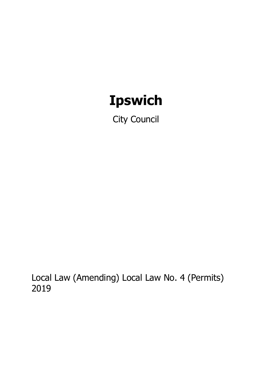# **Ipswich**

City Council

Local Law (Amending) Local Law No. 4 (Permits) 2019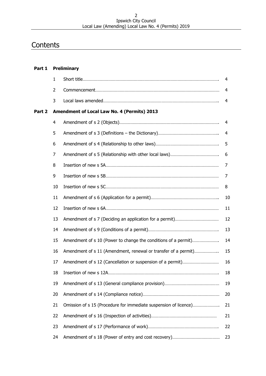#### Ipswich City Council Local Law (Amending) Local Law No. 4 (Permits) 2019

# **Contents**

| Part 1 | <b>Preliminary</b>                          |                                                                  |    |  |
|--------|---------------------------------------------|------------------------------------------------------------------|----|--|
|        | $\mathbf{1}$                                |                                                                  | 4  |  |
|        | $\overline{2}$                              |                                                                  | 4  |  |
|        | 3                                           |                                                                  | 4  |  |
| Part 2 | Amendment of Local Law No. 4 (Permits) 2013 |                                                                  |    |  |
|        | 4                                           |                                                                  | 4  |  |
|        | 5                                           |                                                                  | 4  |  |
|        | 6                                           |                                                                  | 5  |  |
|        | $\overline{7}$                              |                                                                  | 6  |  |
|        | 8                                           |                                                                  | 7  |  |
|        | 9                                           |                                                                  | 7  |  |
|        | 10                                          |                                                                  | 8  |  |
|        | 11                                          |                                                                  | 10 |  |
|        | 12                                          |                                                                  | 11 |  |
|        | 13                                          |                                                                  | 12 |  |
|        | 14                                          |                                                                  | 13 |  |
|        | 15                                          | Amendment of s 10 (Power to change the conditions of a permit)   | 14 |  |
|        | 16                                          | Amendment of s 11 (Amendment, renewal or transfer of a permit)   | 15 |  |
|        | 17                                          |                                                                  | 16 |  |
|        | 18                                          |                                                                  | 18 |  |
|        | 19                                          |                                                                  | 19 |  |
|        | 20                                          |                                                                  | 20 |  |
|        | 21                                          | Omission of s 15 (Procedure for immediate suspension of licence) | 21 |  |
|        | 22                                          |                                                                  | 21 |  |
|        | 23                                          |                                                                  | 22 |  |
|        | 24                                          |                                                                  | 23 |  |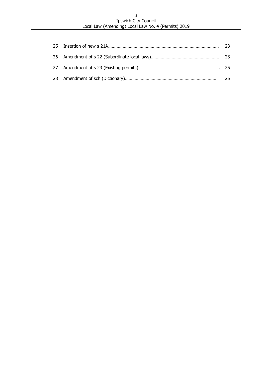#### Ipswich City Council Local Law (Amending) Local Law No. 4 (Permits) 2019

|  | -25 |
|--|-----|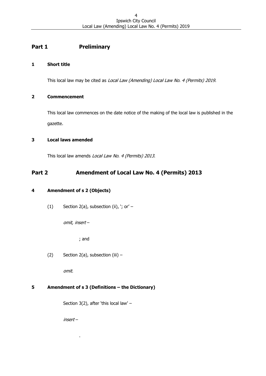# **Part 1 Preliminary**

# <span id="page-3-0"></span>**1 Short title**

This local law may be cited as Local Law (Amending) Local Law No. 4 (Permits) 2019.

# <span id="page-3-1"></span>**2 Commencement**

This local law commences on the date notice of the making of the local law is published in the gazette.

# <span id="page-3-2"></span>**3 Local laws amended**

This local law amends Local Law No. 4 (Permits) 2013.

# **Part 2 Amendment of Local Law No. 4 (Permits) 2013**

# <span id="page-3-3"></span>**4 Amendment of s 2 (Objects)**

(1) Section 2(a), subsection (ii),  $\cdot$ ; or' –

omit, insert –

; and

(2) Section 2(a), subsection (iii)  $-$ 

omit.

# <span id="page-3-4"></span>**5 Amendment of s 3 (Definitions – the Dictionary)**

Section 3(2), after 'this local law' –

insert –

.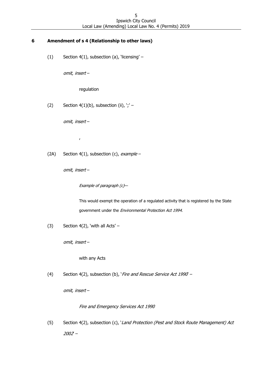# <span id="page-4-0"></span>**6 Amendment of s 4 (Relationship to other laws)**

(1) Section  $4(1)$ , subsection (a), 'licensing' –

omit, insert –

regulation

(2) Section  $4(1)(b)$ , subsection (ii),  $\cdot$ ;' -

omit, insert –

,

(2A) Section 4(1), subsection (c),  $example -$ 

omit, insert –

Example of paragraph (c)—

This would exempt the operation of a regulated activity that is registered by the State government under the Environmental Protection Act 1994.

(3) Section  $4(2)$ , 'with all Acts' –

omit, insert –

with any Acts

(4) Section 4(2), subsection (b), 'Fire and Rescue Service Act 1990 -

omit, insert –

Fire and Emergency Services Act 1990

(5) Section 4(2), subsection (c), 'Land Protection (Pest and Stock Route Management) Act 2002' –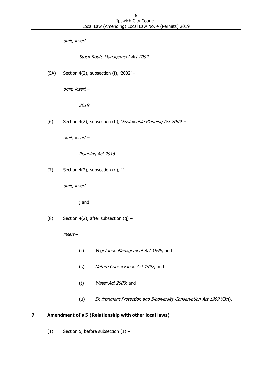omit, insert –

Stock Route Management Act 2002

(5A) Section 4(2), subsection (f), '2002' –

omit, insert –

2018

(6) Section 4(2), subsection (h), *Sustainable Planning Act 2009* –

omit, insert –

Planning Act 2016

(7) Section 4(2), subsection (q),  $\cdot$  ' -

omit, insert –

; and

(8) Section 4(2), after subsection  $(q)$  –

insert –

- (r) Vegetation Management Act 1999; and
- (s) Nature Conservation Act 1992; and
- (t) Water Act 2000; and
- (u) Environment Protection and Biodiversity Conservation Act 1999 (Cth).

# <span id="page-5-0"></span>**7 Amendment of s 5 (Relationship with other local laws)**

(1) Section 5, before subsection  $(1)$  –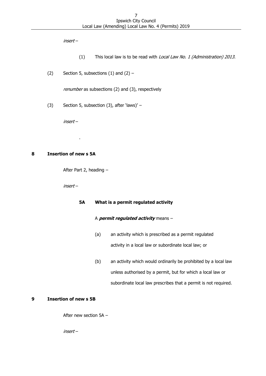insert –

- (1) This local law is to be read with Local Law No. 1 (Administration) 2013.
- (2) Section 5, subsections  $(1)$  and  $(2)$  –

renumber as subsections (2) and (3), respectively

(3) Section 5, subsection (3), after 'laws)'  $-$ 

insert –

.

# <span id="page-6-0"></span>**8 Insertion of new s 5A**

After Part 2, heading –

insert –

# **5A What is a permit regulated activity**

# A **permit regulated activity** means –

- (a) an activity which is prescribed as a permit regulated activity in a local law or subordinate local law; or
- (b) an activity which would ordinarily be prohibited by a local law unless authorised by a permit, but for which a local law or subordinate local law prescribes that a permit is not required.

# <span id="page-6-1"></span>**9 Insertion of new s 5B**

After new section 5A –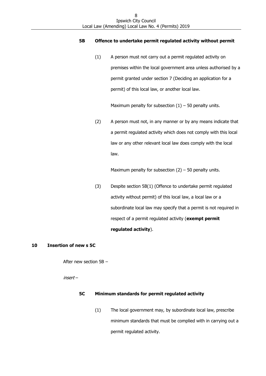#### **5B Offence to undertake permit regulated activity without permit**

(1) A person must not carry out a permit regulated activity on premises within the local government area unless authorised by a permit granted under section 7 (Deciding an application for a permit) of this local law, or another local law.

Maximum penalty for subsection  $(1)$  – 50 penalty units.

(2) A person must not, in any manner or by any means indicate that a permit regulated activity which does not comply with this local law or any other relevant local law does comply with the local law.

Maximum penalty for subsection  $(2)$  – 50 penalty units.

(3) Despite section 5B(1) (Offence to undertake permit regulated activity without permit) of this local law, a local law or a subordinate local law may specify that a permit is not required in respect of a permit regulated activity (**exempt permit regulated activity**).

#### <span id="page-7-0"></span>**10 Insertion of new s 5C**

After new section 5B –

insert –

# **5C Minimum standards for permit regulated activity**

(1) The local government may, by subordinate local law, prescribe minimum standards that must be complied with in carrying out a permit regulated activity.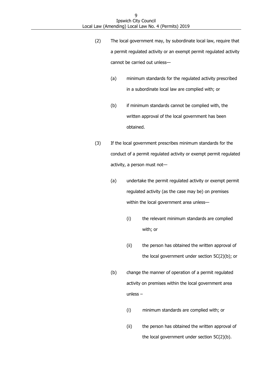- (2) The local government may, by subordinate local law, require that a permit regulated activity or an exempt permit regulated activity cannot be carried out unless—
	- (a) minimum standards for the regulated activity prescribed in a subordinate local law are complied with; or
	- (b) if minimum standards cannot be complied with, the written approval of the local government has been obtained.
- (3) If the local government prescribes minimum standards for the conduct of a permit regulated activity or exempt permit regulated activity, a person must not—
	- (a) undertake the permit regulated activity or exempt permit regulated activity (as the case may be) on premises within the local government area unless—
		- (i) the relevant minimum standards are complied with; or
		- (ii) the person has obtained the written approval of the local government under section 5C(2)(b); or
	- (b) change the manner of operation of a permit regulated activity on premises within the local government area unless –
		- (i) minimum standards are complied with; or
		- (ii) the person has obtained the written approval of the local government under section 5C(2)(b).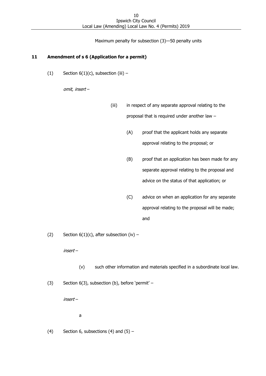Maximum penalty for subsection (3)—50 penalty units

# <span id="page-9-0"></span>**11 Amendment of s 6 (Application for a permit)**

(1) Section  $6(1)(c)$ , subsection (iii) -

omit, insert –

- (iii) in respect of any separate approval relating to the proposal that is required under another law –
	- (A) proof that the applicant holds any separate approval relating to the proposal; or
	- (B) proof that an application has been made for any separate approval relating to the proposal and advice on the status of that application; or
	- (C) advice on when an application for any separate approval relating to the proposal will be made; and
- (2) Section  $6(1)(c)$ , after subsection (iv) –

insert –

- (v) such other information and materials specified in a subordinate local law.
- (3) Section 6(3), subsection (b), before 'permit' –

insert –

a

(4) Section 6, subsections (4) and  $(5)$  –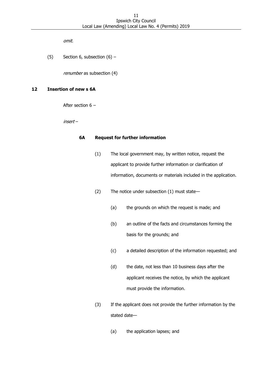omit.

(5) Section 6, subsection  $(6)$  –

renumber as subsection (4)

#### <span id="page-10-0"></span>**12 Insertion of new s 6A**

After section 6 –

insert –

#### **6A Request for further information**

- (1) The local government may, by written notice, request the applicant to provide further information or clarification of information, documents or materials included in the application.
- (2) The notice under subsection (1) must state—
	- (a) the grounds on which the request is made; and
	- (b) an outline of the facts and circumstances forming the basis for the grounds; and
	- (c) a detailed description of the information requested; and
	- (d) the date, not less than 10 business days after the applicant receives the notice, by which the applicant must provide the information.
- (3) If the applicant does not provide the further information by the stated date—
	- (a) the application lapses; and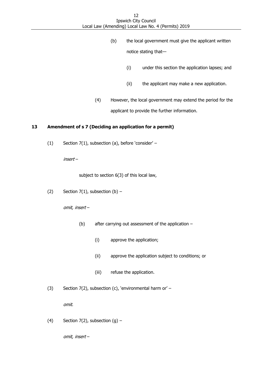- (b) the local government must give the applicant written notice stating that—
	- (i) under this section the application lapses; and
	- (ii) the applicant may make a new application.
- (4) However, the local government may extend the period for the applicant to provide the further information.

#### <span id="page-11-0"></span>**13 Amendment of s 7 (Deciding an application for a permit)**

(1) Section 7(1), subsection (a), before 'consider' –

insert –

subject to section 6(3) of this local law,

(2) Section  $7(1)$ , subsection  $(b)$  –

omit, insert –

- (b) after carrying out assessment of the application
	- (i) approve the application;
	- (ii) approve the application subject to conditions; or
	- (iii) refuse the application.
- (3) Section 7(2), subsection (c), 'environmental harm or' –

omit.

(4) Section  $7(2)$ , subsection  $(g)$  –

omit, insert –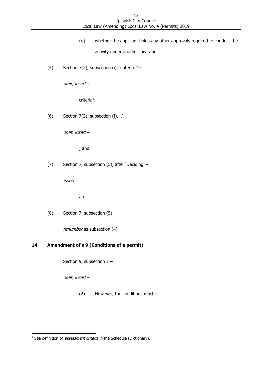- (g) whether the applicant holds any other approvals required to conduct the activity under another law; and
- (5) Section 7(2), subsection (i), 'criteria ;' –

omit, insert –

criteria<sup>1</sup>;

(6) Section 7(2), subsection (j),  $\cdot$  ' -

omit, insert –

; and

(7) Section 7, subsection (5), after 'Deciding' –

insert –

an

(8) Section 7, subsection  $(5)$  –

renumber as subsection (4)

# <span id="page-12-0"></span>**14 Amendment of s 9 (Conditions of a permit)**

Section 9, subsection 2 –

omit, insert –

-

(2) However, the conditions must—

 $1$  See definition of *assessment criteria* in the Schedule (Dictionary).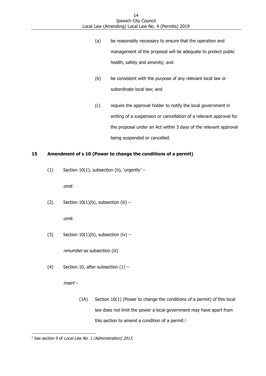- (a) be reasonably necessary to ensure that the operation and management of the proposal will be adequate to protect public health, safety and amenity; and
- (b) be consistent with the purpose of any relevant local law or subordinate local law; and
- (c) require the approval holder to notify the local government in writing of a suspension or cancellation of a relevant approval for the proposal under an Act within 3 days of the relevant approval being suspended or cancelled.

# <span id="page-13-0"></span>**15 Amendment of s 10 (Power to change the conditions of a permit)**

(1) Section 10(1), subsection (b), 'urgently' –

omit.

(2) Section  $10(1)(b)$ , subsection (iii) -

omit.

(3) Section  $10(1)(b)$ , subsection (iv) -

renumber as subsection (iii)

(4) Section 10, after subsection  $(1)$  –

insert –

(1A) Section 10(1) (Power to change the conditions of a permit) of this local law does not limit the power a local government may have apart from this section to amend a condition of a permit.<sup>2</sup>

<sup>-</sup><sup>2</sup> See section 9 of *Local Law No. 1 (Administration) 2013*.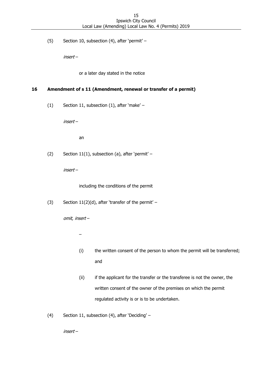(5) Section 10, subsection (4), after 'permit' –

insert –

or a later day stated in the notice

# <span id="page-14-0"></span>**16 Amendment of s 11 (Amendment, renewal or transfer of a permit)**

(1) Section 11, subsection (1), after 'make' –

insert –

an

(2) Section 11(1), subsection (a), after 'permit' –

insert –

including the conditions of the permit

(3) Section  $11(2)(d)$ , after 'transfer of the permit' –

omit, insert –

–

- (i) the written consent of the person to whom the permit will be transferred; and
- (ii) if the applicant for the transfer or the transferee is not the owner, the written consent of the owner of the premises on which the permit regulated activity is or is to be undertaken.
- (4) Section 11, subsection (4), after 'Deciding' –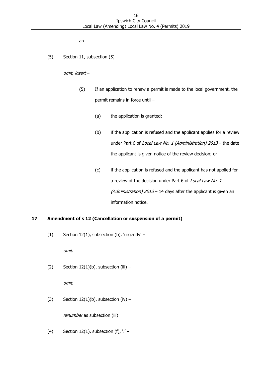an

(5) Section 11, subsection  $(5)$  –

omit, insert –

- (5) If an application to renew a permit is made to the local government, the permit remains in force until –
	- (a) the application is granted;
	- (b) if the application is refused and the applicant applies for a review under Part 6 of Local Law No. 1 (Administration) 2013 - the date the applicant is given notice of the review decision; or
	- (c) if the application is refused and the applicant has not applied for a review of the decision under Part 6 of Local Law No. 1 (Administration)  $2013 - 14$  days after the applicant is given an information notice.

# <span id="page-15-0"></span>**17 Amendment of s 12 (Cancellation or suspension of a permit)**

(1) Section 12(1), subsection (b), 'urgently' –

omit.

(2) Section  $12(1)(b)$ , subsection (iii) –

omit.

(3) Section  $12(1)(b)$ , subsection (iv) -

renumber as subsection (iii)

(4) Section 12(1), subsection (f),  $\cdot$  ' -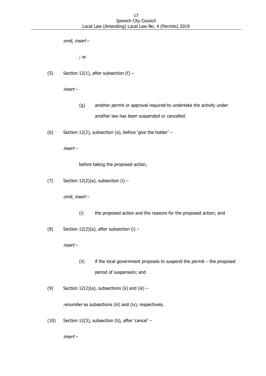omit, insert –

; or

(5) Section 12(1), after subsection  $(f)$  –

insert –

- (g) another permit or approval required to undertake the activity under another law has been suspended or cancelled.
- (6) Section 12(2), subsection (a), before 'give the holder' –

insert –

before taking the proposed action,

(7) Section  $12(2)(a)$ , subsection (i) –

omit, insert –

- (i) the proposed action and the reasons for the proposed action; and
- (8) Section 12(2)(a), after subsection (i)  $-$

insert –

- (ii) if the local government proposes to suspend the permit the proposed period of suspension; and
- (9) Section  $12(2)(a)$ , subsections (ii) and (iii) -

renumber as subsections (iii) and (iv), respectively.

(10) Section 12(3), subsection (b), after 'cancel' –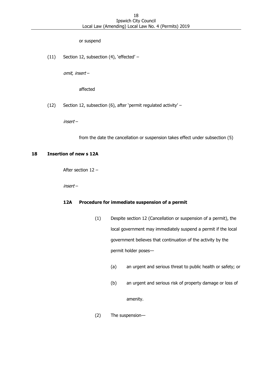#### or suspend

(11) Section 12, subsection (4), 'effected' –

omit, insert –

affected

(12) Section 12, subsection (6), after 'permit regulated activity' –

insert –

from the date the cancellation or suspension takes effect under subsection (5)

#### <span id="page-17-0"></span>**18 Insertion of new s 12A**

After section 12 –

insert –

#### **12A Procedure for immediate suspension of a permit**

- (1) Despite section 12 (Cancellation or suspension of a permit), the local government may immediately suspend a permit if the local government believes that continuation of the activity by the permit holder poses—
	- (a) an urgent and serious threat to public health or safety; or
	- (b) an urgent and serious risk of property damage or loss of

amenity.

(2) The suspension—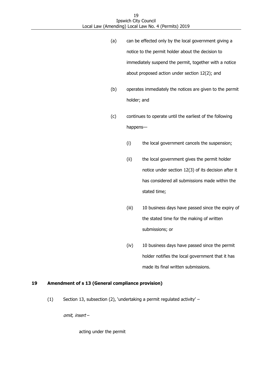- (a) can be effected only by the local government giving a notice to the permit holder about the decision to immediately suspend the permit, together with a notice about proposed action under section 12(2); and
- (b) operates immediately the notices are given to the permit holder; and
- (c) continues to operate until the earliest of the following happens—
	- (i) the local government cancels the suspension;
	- (ii) the local government gives the permit holder notice under section 12(3) of its decision after it has considered all submissions made within the stated time;
	- (iii) 10 business days have passed since the expiry of the stated time for the making of written submissions; or
	- (iv) 10 business days have passed since the permit holder notifies the local government that it has made its final written submissions.

# <span id="page-18-0"></span>**19 Amendment of s 13 (General compliance provision)**

(1) Section 13, subsection (2), 'undertaking a permit regulated activity' –

omit, insert –

acting under the permit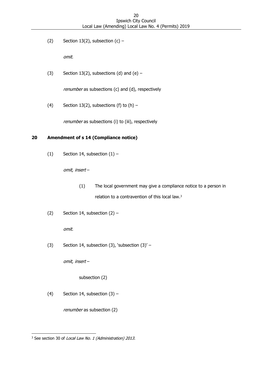(2) Section 13(2), subsection  $(c)$  –

omit.

(3) Section 13(2), subsections (d) and (e)  $-$ 

renumber as subsections (c) and (d), respectively

(4) Section 13(2), subsections (f) to  $(h)$  –

renumber as subsections (i) to (iii), respectively

# <span id="page-19-0"></span>**20 Amendment of s 14 (Compliance notice)**

(1) Section 14, subsection  $(1)$  –

omit, insert –

- (1) The local government may give a compliance notice to a person in relation to a contravention of this local law.<sup>3</sup>
- (2) Section 14, subsection  $(2)$  –

omit.

(3) Section 14, subsection (3), 'subsection  $(3)'$  –

omit, insert –

subsection (2)

(4) Section 14, subsection  $(3)$  –

renumber as subsection (2)

<sup>-</sup><sup>3</sup> See section 30 of *Local Law No. 1 (Administration) 2013*.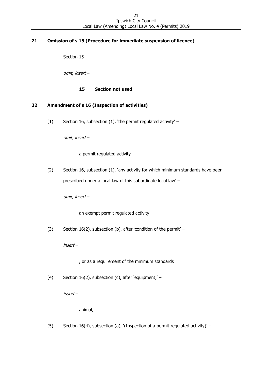# <span id="page-20-0"></span>**21 Omission of s 15 (Procedure for immediate suspension of licence)**

Section 15 –

omit, insert –

# **15 Section not used**

# <span id="page-20-1"></span>**22 Amendment of s 16 (Inspection of activities)**

(1) Section 16, subsection (1), 'the permit regulated activity' –

omit, insert –

a permit regulated activity

(2) Section 16, subsection (1), 'any activity for which minimum standards have been prescribed under a local law of this subordinate local law' –

omit, insert –

an exempt permit regulated activity

(3) Section 16(2), subsection (b), after 'condition of the permit' –

insert –

, or as a requirement of the minimum standards

(4) Section 16(2), subsection (c), after 'equipment,' –

insert –

animal,

(5) Section 16(4), subsection (a), '(Inspection of a permit regulated activity)' –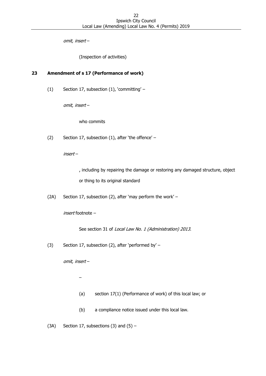omit, insert –

(Inspection of activities)

# <span id="page-21-0"></span>**23 Amendment of s 17 (Performance of work)**

(1) Section 17, subsection (1), 'committing' –

omit, insert –

who commits

(2) Section 17, subsection (1), after 'the offence' –

insert –

, including by repairing the damage or restoring any damaged structure, object or thing to its original standard

(2A) Section 17, subsection (2), after 'may perform the work' –

insert footnote –

See section 31 of Local Law No. 1 (Administration) 2013.

(3) Section 17, subsection (2), after 'performed by' –

omit, insert –

–

- (a) section 17(1) (Performance of work) of this local law; or
- (b) a compliance notice issued under this local law.

(3A) Section 17, subsections (3) and  $(5)$  –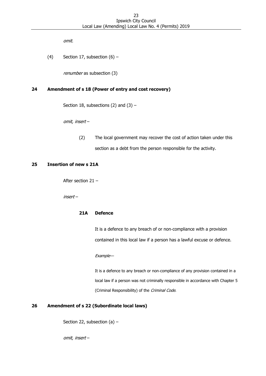omit.

(4) Section 17, subsection  $(6)$  –

renumber as subsection (3)

#### <span id="page-22-0"></span>**24 Amendment of s 18 (Power of entry and cost recovery)**

Section 18, subsections (2) and (3)  $-$ 

omit, insert –

(2) The local government may recover the cost of action taken under this section as a debt from the person responsible for the activity.

#### <span id="page-22-1"></span>**25 Insertion of new s 21A**

After section 21 –

insert –

#### **21A Defence**

It is a defence to any breach of or non‐compliance with a provision contained in this local law if a person has a lawful excuse or defence.

#### Example—

It is a defence to any breach or non‐compliance of any provision contained in a local law if a person was not criminally responsible in accordance with Chapter 5 (Criminal Responsibility) of the Criminal Code.

#### <span id="page-22-2"></span>**26 Amendment of s 22 (Subordinate local laws)**

Section 22, subsection (a) –

omit, insert –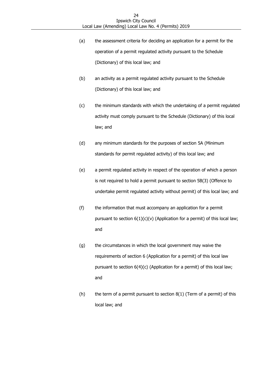- (a) the assessment criteria for deciding an application for a permit for the operation of a permit regulated activity pursuant to the Schedule (Dictionary) of this local law; and
- (b) an activity as a permit regulated activity pursuant to the Schedule (Dictionary) of this local law; and
- (c) the minimum standards with which the undertaking of a permit regulated activity must comply pursuant to the Schedule (Dictionary) of this local law; and
- (d) any minimum standards for the purposes of section 5A (Minimum standards for permit regulated activity) of this local law; and
- (e) a permit regulated activity in respect of the operation of which a person is not required to hold a permit pursuant to section 5B(3) (Offence to undertake permit regulated activity without permit) of this local law; and
- (f) the information that must accompany an application for a permit pursuant to section  $6(1)(c)(v)$  (Application for a permit) of this local law; and
- (g) the circumstances in which the local government may waive the requirements of section 6 (Application for a permit) of this local law pursuant to section 6(4)(c) (Application for a permit) of this local law; and
- (h) the term of a permit pursuant to section  $8(1)$  (Term of a permit) of this local law; and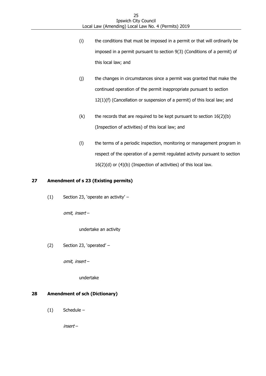- (i) the conditions that must be imposed in a permit or that will ordinarily be imposed in a permit pursuant to section 9(3) (Conditions of a permit) of this local law; and
- (j) the changes in circumstances since a permit was granted that make the continued operation of the permit inappropriate pursuant to section 12(1)(f) (Cancellation or suspension of a permit) of this local law; and
- (k) the records that are required to be kept pursuant to section  $16(2)(b)$ (Inspection of activities) of this local law; and
- (l) the terms of a periodic inspection, monitoring or management program in respect of the operation of a permit regulated activity pursuant to section 16(2)(d) or (4)(b) (Inspection of activities) of this local law.

# <span id="page-24-0"></span>**27 Amendment of s 23 (Existing permits)**

(1) Section 23, 'operate an activity' –

omit, insert –

undertake an activity

(2) Section 23, 'operated' –

omit, insert –

undertake

# <span id="page-24-1"></span>**28 Amendment of sch (Dictionary)**

(1) Schedule –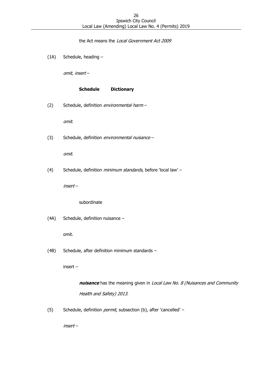the Act means the Local Government Act 2009

(1A) Schedule, heading –

omit, insert –

#### **Schedule Dictionary**

(2) Schedule, definition environmental harm –

omit.

(3) Schedule, definition environmental nuisance -

omit.

(4) Schedule, definition *minimum standards*, before 'local law' -

insert –

subordinate

(4A) Schedule, definition nuisance –

omit.

(4B) Schedule, after definition minimum standards –

insert –

**nuisance** has the meaning given in *Local Law No. 8 (Nuisances and Community* Health and Safety) 2013.

(5) Schedule, definition *permit*, subsection (b), after 'cancelled' –